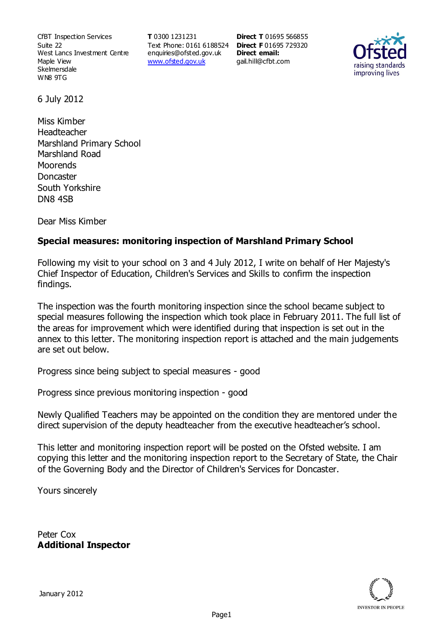CfBT Inspection Services Suite 22 West Lancs Investment Centre Maple View **Skelmersdale** WN8 9TG

**T** 0300 1231231 Text Phone: 0161 6188524 **Direct F** 01695 729320 enquiries@ofsted.gov.uk www.ofsted.gov.uk

**Direct T** 01695 566855 **Direct email:**  gail.hill@cfbt.com



6 July 2012

Miss Kimber Headteacher Marshland Primary School Marshland Road **Moorends Doncaster** South Yorkshire DN8 4SB

Dear Miss Kimber

## **Special measures: monitoring inspection of Marshland Primary School**

Following my visit to your school on 3 and 4 July 2012, I write on behalf of Her Majesty's Chief Inspector of Education, Children's Services and Skills to confirm the inspection findings.

The inspection was the fourth monitoring inspection since the school became subject to special measures following the inspection which took place in February 2011. The full list of the areas for improvement which were identified during that inspection is set out in the annex to this letter. The monitoring inspection report is attached and the main judgements are set out below.

Progress since being subject to special measures - good

Progress since previous monitoring inspection - good

Newly Qualified Teachers may be appointed on the condition they are mentored under the direct supervision of the deputy headteacher from the executive headteacher's school.

This letter and monitoring inspection report will be posted on the Ofsted website. I am copying this letter and the monitoring inspection report to the Secretary of State, the Chair of the Governing Body and the Director of Children's Services for Doncaster.

Yours sincerely

Peter Cox **Additional Inspector**

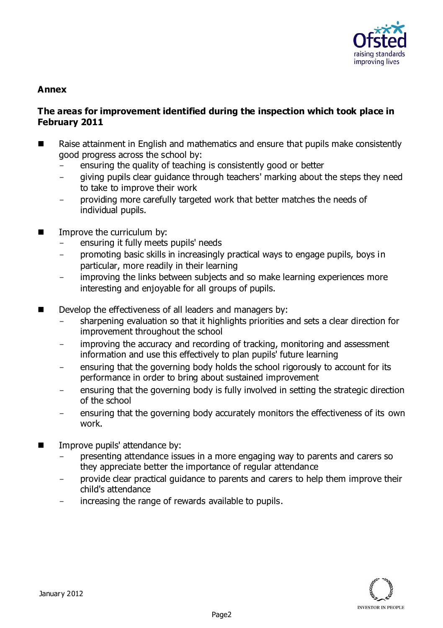

#### **Annex**

### **The areas for improvement identified during the inspection which took place in February 2011**

- Raise attainment in English and mathematics and ensure that pupils make consistently good progress across the school by:
	- ensuring the quality of teaching is consistently good or better
	- giving pupils clear guidance through teachers' marking about the steps they need to take to improve their work
	- providing more carefully targeted work that better matches the needs of individual pupils.
- Improve the curriculum by:
	- ensuring it fully meets pupils' needs
	- promoting basic skills in increasingly practical ways to engage pupils, boys in particular, more readily in their learning
	- improving the links between subjects and so make learning experiences more interesting and enjoyable for all groups of pupils.
- Develop the effectiveness of all leaders and managers by:
	- sharpening evaluation so that it highlights priorities and sets a clear direction for improvement throughout the school
	- improving the accuracy and recording of tracking, monitoring and assessment information and use this effectively to plan pupils' future learning
	- ensuring that the governing body holds the school rigorously to account for its performance in order to bring about sustained improvement
	- ensuring that the governing body is fully involved in setting the strategic direction of the school
	- ensuring that the governing body accurately monitors the effectiveness of its own work.
- Improve pupils' attendance by:
	- presenting attendance issues in a more engaging way to parents and carers so they appreciate better the importance of regular attendance
	- provide clear practical guidance to parents and carers to help them improve their child's attendance
	- increasing the range of rewards available to pupils.

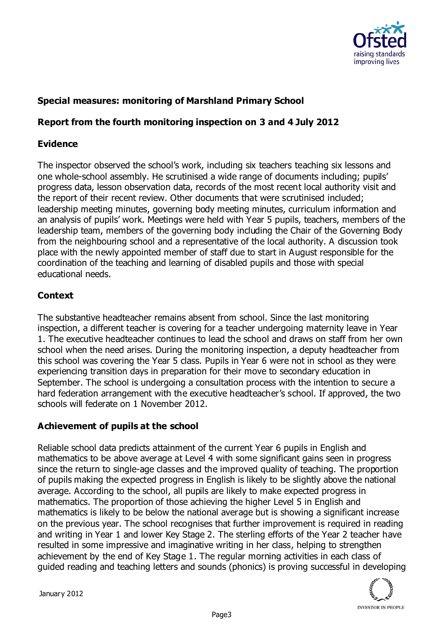

## **Special measures: monitoring of Marshland Primary School**

## **Report from the fourth monitoring inspection on 3 and 4 July 2012**

### **Evidence**

The inspector observed the school's work, including six teachers teaching six lessons and one whole-school assembly. He scrutinised a wide range of documents including; pupils' progress data, lesson observation data, records of the most recent local authority visit and the report of their recent review. Other documents that were scrutinised included; leadership meeting minutes, governing body meeting minutes, curriculum information and an analysis of pupils' work. Meetings were held with Year 5 pupils, teachers, members of the leadership team, members of the governing body including the Chair of the Governing Body from the neighbouring school and a representative of the local authority. A discussion took place with the newly appointed member of staff due to start in August responsible for the coordination of the teaching and learning of disabled pupils and those with special educational needs.

## **Context**

The substantive headteacher remains absent from school. Since the last monitoring inspection, a different teacher is covering for a teacher undergoing maternity leave in Year 1. The executive headteacher continues to lead the school and draws on staff from her own school when the need arises. During the monitoring inspection, a deputy headteacher from this school was covering the Year 5 class. Pupils in Year 6 were not in school as they were experiencing transition days in preparation for their move to secondary education in September. The school is undergoing a consultation process with the intention to secure a hard federation arrangement with the executive headteacher's school. If approved, the two schools will federate on 1 November 2012.

### **Achievement of pupils at the school**

Reliable school data predicts attainment of the current Year 6 pupils in English and mathematics to be above average at Level 4 with some significant gains seen in progress since the return to single-age classes and the improved quality of teaching. The proportion of pupils making the expected progress in English is likely to be slightly above the national average. According to the school, all pupils are likely to make expected progress in mathematics. The proportion of those achieving the higher Level 5 in English and mathematics is likely to be below the national average but is showing a significant increase on the previous year. The school recognises that further improvement is required in reading and writing in Year 1 and lower Key Stage 2. The sterling efforts of the Year 2 teacher have resulted in some impressive and imaginative writing in her class, helping to strengthen achievement by the end of Key Stage 1. The regular morning activities in each class of guided reading and teaching letters and sounds (phonics) is proving successful in developing

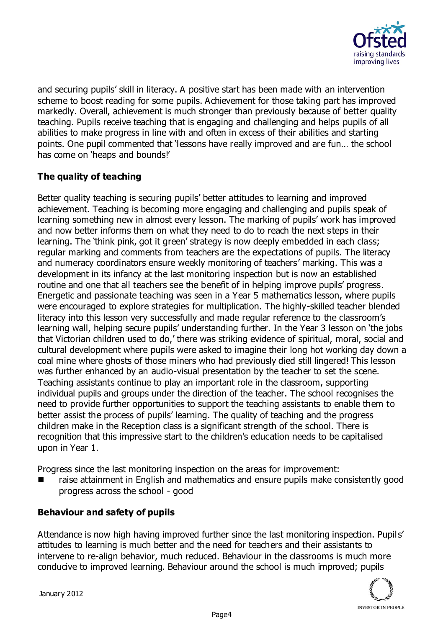

and securing pupils' skill in literacy. A positive start has been made with an intervention scheme to boost reading for some pupils. Achievement for those taking part has improved markedly. Overall, achievement is much stronger than previously because of better quality teaching. Pupils receive teaching that is engaging and challenging and helps pupils of all abilities to make progress in line with and often in excess of their abilities and starting points. One pupil commented that 'lessons have really improved and are fun… the school has come on 'heaps and bounds!'

# **The quality of teaching**

Better quality teaching is securing pupils' better attitudes to learning and improved achievement. Teaching is becoming more engaging and challenging and pupils speak of learning something new in almost every lesson. The marking of pupils' work has improved and now better informs them on what they need to do to reach the next steps in their learning. The 'think pink, got it green' strategy is now deeply embedded in each class; regular marking and comments from teachers are the expectations of pupils. The literacy and numeracy coordinators ensure weekly monitoring of teachers' marking. This was a development in its infancy at the last monitoring inspection but is now an established routine and one that all teachers see the benefit of in helping improve pupils' progress. Energetic and passionate teaching was seen in a Year 5 mathematics lesson, where pupils were encouraged to explore strategies for multiplication. The highly-skilled teacher blended literacy into this lesson very successfully and made regular reference to the classroom's learning wall, helping secure pupils' understanding further. In the Year 3 lesson on 'the jobs that Victorian children used to do,' there was striking evidence of spiritual, moral, social and cultural development where pupils were asked to imagine their long hot working day down a coal mine where ghosts of those miners who had previously died still lingered! This lesson was further enhanced by an audio-visual presentation by the teacher to set the scene. Teaching assistants continue to play an important role in the classroom, supporting individual pupils and groups under the direction of the teacher. The school recognises the need to provide further opportunities to support the teaching assistants to enable them to better assist the process of pupils' learning. The quality of teaching and the progress children make in the Reception class is a significant strength of the school. There is recognition that this impressive start to the children's education needs to be capitalised upon in Year 1.

Progress since the last monitoring inspection on the areas for improvement:

 raise attainment in English and mathematics and ensure pupils make consistently good progress across the school - good

## **Behaviour and safety of pupils**

Attendance is now high having improved further since the last monitoring inspection. Pupils' attitudes to learning is much better and the need for teachers and their assistants to intervene to re-align behavior, much reduced. Behaviour in the classrooms is much more conducive to improved learning. Behaviour around the school is much improved; pupils